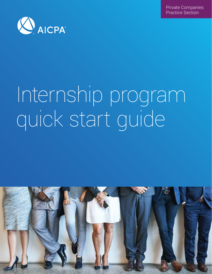Private Companies Practice Section



# Internship program quick start guide

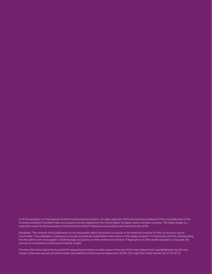© 2018 Association of International Certified Professional Accountants. All rights reserved. AICPA and American Institute of CPAs are trademarks of the American Institute of Certified Public Accountants and are registered in the United States, European Union and other countries. The Globe Design is a trademark owned by the Association of International Certified Professional Accountants and licensed to the AICPA.

Disclaimer: The contents of this publication do not necessarily reflect the position or opinion of the American Institute of CPAs, its divisions and its committees. This publication is designed to provide accurate and authoritative information on the subject covered. It is distributed with the understanding that the authors are not engaged in rendering legal, accounting or other professional services. If legal advice or other expert assistance is required, the services of a competent professional should be sought.

For more information about the procedure for requesting permission to make copies of any part of this work, please email copyright@aicpa.org with your request. Otherwise, requests should be written and mailed to the Permissions Department, AICPA, 220 Leigh Farm Road, Durham, NC 27707-8110.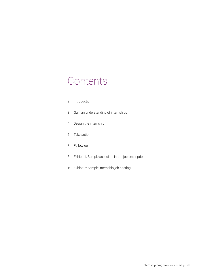### Contents

| 2 | Introduction                                       |
|---|----------------------------------------------------|
| 3 | Gain an understanding of internships               |
| 4 | Design the internship                              |
| 5 | Take action                                        |
|   | Follow-up                                          |
| 8 | Exhibit 1: Sample associate intern job description |

[10](#page-11-0) [Exhibit 2: Sample internship job posting](#page-11-0)

.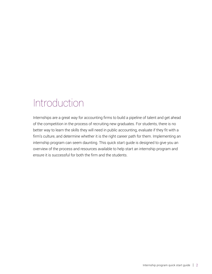## <span id="page-3-0"></span>Introduction

Internships are a great way for accounting firms to build a pipeline of talent and get ahead of the competition in the process of recruiting new graduates. For students, there is no better way to learn the skills they will need in public accounting, evaluate if they fit with a firm's culture, and determine whether it is the right career path for them. Implementing an internship program can seem daunting. This quick start guide is designed to give you an overview of the process and resources available to help start an internship program and ensure it is successful for both the firm and the students.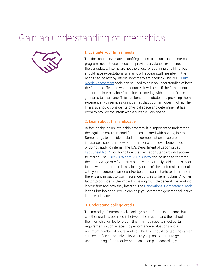## <span id="page-4-0"></span>Gain an understanding of internships



#### 1. Evaluate your firm's needs

The firm should evaluate its staffing needs to ensure that an internship program meets those needs and provides a valuable experience for the candidates. Interns are not there just for scanning and filing, but should have expectations similar to a first-year staff member. If the needs can be met by interns, how many are needed? The PCPS Firm [Needs Assessment](https://www.aicpa.org/interestareas/privatecompaniespracticesection/humancapital/teamrecruitment/firmneedsassessment.html) tools can be used to gain an understanding of how the firm is staffed and what resources it will need. If the firm cannot support an intern by itself, consider partnering with another firm in your area to share one. This can benefit the student by providing them experience with services or industries that your firm doesn't offer. The firm also should consider its physical space and determine if it has room to provide the intern with a suitable work space.

#### 2. Learn about the landscape

Before designing an internship program, it is important to understand the legal and environmental factors associated with hosting interns. Some things to consider include the compensation structure, insurance issues, and how other traditional employee benefits do or do not apply to interns. The U.S. Department of Labor issued [Fact Sheet No. 71](https://www.dol.gov/whd/regs/compliance/whdfs71.htm), outlining how the Fair Labor Standards Act applies to interns. The [PCPS/CPA.com MAP Survey](https://www.aicpa.org/interestareas/privatecompaniespracticesection/financialadminoperations/nationalmapsurvey.html) can be used to estimate the hourly wage rate for interns as they are normally paid a rate similar to a new staff member. It may be in your firm's best interest to consult with your insurance carrier and/or benefits consultants to determine if there is any impact to your insurance policies or benefit plans. Another factor to consider is the impact of having multiple generations working in your firm and how they interact. The [Generational Competence Tools](http://www.aicpa.org/interestareas/privatecompaniespracticesection/strategy-planning/firminmotion/firmstructurestrategy.html) in the Firm inMotion Toolkit can help you overcome generational issues in the workplace.

#### 3. Understand college credit

The majority of interns receive college credit for the experience, but whether credit is obtained is between the student and the school. If the internship will be for credit, the firm may need to meet certain requirements such as specific performance evaluations and a minimum number of hours worked. The firm should contact the career services office at the university where you plan to recruit to get an understanding of the requirements so it can plan accordingly.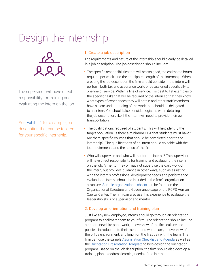# <span id="page-5-0"></span>Design the internship

![](_page_5_Picture_1.jpeg)

The supervisor will have direct responsibility for training and evaluating the intern on the job.

See [Exhibit 1](#page-9-0) for a sample job description that can be tailored for your specific internship.

#### 1. Create a job description

The requirements and nature of the internship should clearly be detailed in a job description. The job description should include:

- The specific responsibilities that will be assigned, the estimated hours required per week, and the anticipated length of the internship. When creating the job description the firm should consider if the intern will perform both tax and assurance work, or be assigned specifically to one line of service. Within a line of service, it is best to list examples of the specific tasks that will be required of the intern so that they know what types of experiences they will obtain and other staff members have a clear understanding of the work that should be delegated to an intern. You should also consider logistics when detailing the job description, like if the intern will need to provide their own transportation.
- The qualifications required of students. This will help identify the target population. Is there a minimum GPA that students must have? Are there specific courses that should be completed prior to the internship? The qualifications of an intern should coincide with the job requirements and the needs of the firm.
- Who will supervise and who will mentor the interns? The supervisor will have direct responsibility for training and evaluating the intern on the job. A mentor may or may not supervise the daily work of the intern, but provides guidance in other ways, such as assisting with the intern's professional development needs and performance evaluations. Interns should be included in the firm's organization structure. [Sample organizational charts](https://www.aicpa.org/interestareas/privatecompaniespracticesection/humancapital/organizationstructuregovernance.html) can be found on the Organizational Structure and Governance page of the PCPS Human Capital Center. The firm can also use this experience to evaluate the leadership skills of supervisor and mentor.

#### 2. Develop an orientation and training plan

Just like any new employee, interns should go through an orientation program to acclimate them to your firm. The orientation should include standard new hire paperwork, an overview of the firm culture and policies, introduction to their mentor and work team, an overview of the office environment, and lunch on the first day with the team. The firm can use the sample [Assimilation Checklist and Agenda](https://www.aicpa.org/content/dam/aicpa/interestareas/privatecompaniespracticesection/humancapital/orientationassimilation/downloadabledocuments/assimilationchecklistsagendas.doc) as well as the [Orientation Presentation Template](https://www.aicpa.org/content/dam/aicpa/interestareas/privatecompaniespracticesection/humancapital/orientationassimilation/downloadabledocuments/orientationpresentationtemplate.ppt) to help design the orientation program. Based on the job description, the firm should also develop a training plan to address learning needs of the intern.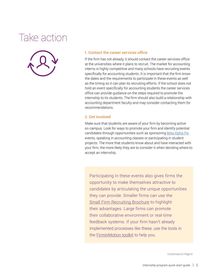# <span id="page-6-0"></span>Take action

![](_page_6_Picture_1.jpeg)

#### 1. Contact the career services office

If the firm has not already, it should contact the career services office at the universities where it plans to recruit. The market for accounting interns is highly competitive and many schools have recruiting events specifically for accounting students. It is important that the firm know the dates and the requirements to participate in these events as well as the timing so it can plan its recruiting efforts. If the school does not hold an event specifically for accounting students the career services office can provide guidance on the steps required to promote the internship to its students. The firm should also build a relationship with accounting department faculty and may consider contacting them for recommendations.

#### 2. Get involved

Make sure that students are aware of your firm by becoming active on campus. Look for ways to promote your firm and identify potential candidates through opportunities such as sponsoring [Beta Alpha Psi](https://www.bap.org/events) events, speaking in accounting classes or participating in student projects. The more that students know about and have interacted with your firm, the more likely they are to consider it when deciding where to accept an internship.

Participating in these events also gives firms the opportunity to make themselves attractive to candidates by articulating the unique opportunities they can provide. Smaller firms can use the [Small Firm Recruiting Brochure](https://www.aicpa.org/content/dam/aicpa/interestareas/privatecompaniespracticesection/humancapital/downloadabledocuments/smallfirmrecruiting.pdf) to highlight their advantages. Large firms can promote their collaborative environment or real-time feedback systems. If your firm hasn't already implemented processes like these, use the tools in the **FirminMotion toolkit** to help you.

*Continued on Page 6*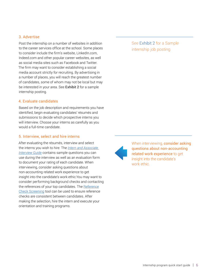#### 3. Advertise

Post the internship on a number of websites in addition to the career services office at the school. Some places to consider include the firm's website, LinkedIn.com, Indeed.com and other popular career websites, as well as social media sites such as Facebook and Twitter. The firm may want to consider establishing a social media account strictly for recruiting. By advertising in a number of places, you will reach the greatest number of candidates, some of whom may not be local but may be interested in your area. See [Exhibit 2](#page-11-0) for a sample internship posting.

#### 4. Evaluate candidates

Based on the job description and requirements you have identified, begin evaluating candidates' résumés and submissions to decide which prospective interns you will interview. Choose your interns as carefully as you would a full-time candidate.

#### 5. Interview, select and hire interns

After evaluating the résumés, interview and select the interns you wish to hire. The *[Intern and Associate](https://www.aicpa.org/content/dam/aicpa/interestareas/privatecompaniespracticesection/humancapital/teamrecruitment/behavioralbasedinterviewing/downloadabledocuments/internassociateinterviews.doc)  [Interview Guide](https://www.aicpa.org/content/dam/aicpa/interestareas/privatecompaniespracticesection/humancapital/teamrecruitment/behavioralbasedinterviewing/downloadabledocuments/internassociateinterviews.doc)* contains sample questions you can use during the interview as well as an evaluation form to document your rating of each candidate. When interviewing, consider asking questions about non-accounting related work experience to get insight into the candidate's work ethic.You may want to consider performing background checks and contacting the references of your top candidates. The [Reference](http://www.aicpa.org/InterestAreas/PrivateCompaniesPracticeSection/HumanCapital/TeamRecruitment/RecruitingandProspecting/DownloadableDocuments/ReferenceCheckScreening.doc) [Check Screening](http://www.aicpa.org/InterestAreas/PrivateCompaniesPracticeSection/HumanCapital/TeamRecruitment/RecruitingandProspecting/DownloadableDocuments/ReferenceCheckScreening.doc) tool can be used to ensure reference checks are consistent between candidates. After making the selection, hire the intern and execute your orientation and training programs.

#### See [Exhibit 2](#page-11-0) for a Sample internship job posting.

![](_page_7_Picture_7.jpeg)

When interviewing, consider asking questions about non-accounting related work experience to get insight into the candidate's work ethic.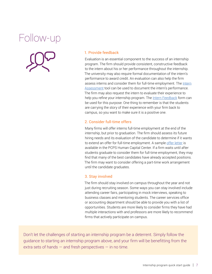# <span id="page-8-0"></span>Follow-up

![](_page_8_Picture_1.jpeg)

#### 1. Provide feedback

Evaluation is an essential component to the success of an internship program. The firm should provide consistent, constructive feedback to the intern about his or her performance throughout the internship. The university may also require formal documentation of the intern's performance to award credit. An evaluation can also help the firm assess interns and consider them for full-time employment. The [Intern](http://www.aicpa.org/InterestAreas/PrivateCompaniesPracticeSection/HumanCapital/TeamRecruitment/RecruitingandProspecting/DownloadableDocuments/InternAssessment.doc) [Assessment](http://www.aicpa.org/InterestAreas/PrivateCompaniesPracticeSection/HumanCapital/TeamRecruitment/RecruitingandProspecting/DownloadableDocuments/InternAssessment.doc) tool can be used to document the intern's performance. The firm may also request the intern to evaluate their experience to help you refine your internship program. The [Intern Feedback](http://www.aicpa.org/InterestAreas/PrivateCompaniesPracticeSection/HumanCapital/TeamRecruitment/RecruitingandProspecting/DownloadableDocuments/InternFeedback.doc) form can be used for this purpose. One thing to remember is that the students are carrying the story of their experience with your firm back to campus, so you want to make sure it is a positive one.

#### 2. Consider full-time offers

Many firms will offer interns full-time employment at the end of the internship, but prior to graduation. The firm should assess its future hiring needs and its evaluation of the candidate to determine if it wants to extend an offer for full-time employment. A sample [offer letter](https://www.aicpa.org/content/dam/aicpa/interestareas/privatecompaniespracticesection/humancapital/teamrecruitment/recruitingandprospecting/downloadabledocuments/offerletters.doc) is available in the PCPS Human Capital Center. If a firm waits until after students graduate to consider them for full-time employment, they may find that many of the best candidates have already accepted positions. The firm may want to consider offering a part-time work arrangement until the candidate graduates.

#### 3. Stay involved

The firm should stay involved on campus throughout the year and not just during recruiting season. Some ways you can stay involved include attending career fairs, participating in mock interviews, speaking to business classes and mentoring students. The career services office or accounting department should be able to provide you with a list of opportunities. Students are more likely to consider firms they have had multiple interactions with and professors are more likely to recommend firms that actively participate on campus.

Don't let the challenges of starting an internship program be a deterrent. Simply follow the guidance to starting an internship program above, and your firm will be benefitting from the extra sets of hands  $-$  and fresh perspectives  $-$  in no time.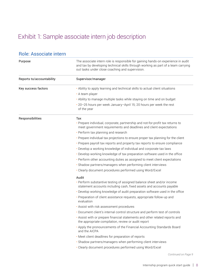### <span id="page-9-0"></span>Exhibit 1: Sample associate intern job description

| <b>Role: Associate intern</b> |                                                                                                                                                                                                                           |  |  |
|-------------------------------|---------------------------------------------------------------------------------------------------------------------------------------------------------------------------------------------------------------------------|--|--|
| Purpose                       | The associate intern role is responsible for gaining hands-on experience in audit<br>and tax by developing technical skills through working as part of a team carrying<br>out tasks under close coaching and supervision. |  |  |
| Reports to/accountability     | Supervisor/manager                                                                                                                                                                                                        |  |  |
| Key success factors           | . Ability to apply learning and technical skills to actual client situations                                                                                                                                              |  |  |
|                               | • A team player                                                                                                                                                                                                           |  |  |
|                               | . Ability to manage multiple tasks while staying on time and on budget                                                                                                                                                    |  |  |
|                               | • 20-25 hours per week January-April 15; 20 hours per week the rest<br>of the year                                                                                                                                        |  |  |
| Responsibilities              | Tax                                                                                                                                                                                                                       |  |  |
|                               | · Prepare individual, corporate, partnership and not-for-profit tax returns to<br>meet government requirements and deadlines and client expectations                                                                      |  |  |
|                               | • Perform tax planning and research                                                                                                                                                                                       |  |  |
|                               | . Prepare individual tax projections to ensure proper tax planning for the client                                                                                                                                         |  |  |
|                               | • Prepare payroll tax reports and property tax reports to ensure compliance                                                                                                                                               |  |  |
|                               | . Develop a working knowledge of individual and corporate tax laws                                                                                                                                                        |  |  |
|                               | . Develop working knowledge of tax preparation software used in the office                                                                                                                                                |  |  |
|                               | . Perform other accounting duties as assigned to meet client expectations                                                                                                                                                 |  |  |
|                               | · Shadow partners/managers when performing client interviews                                                                                                                                                              |  |  |
|                               | • Clearly document procedures performed using Word/Excel                                                                                                                                                                  |  |  |
|                               | Audit                                                                                                                                                                                                                     |  |  |
|                               | . Perform substantive testing of assigned balance sheet and/or income<br>statement accounts including cash, fixed assets and accounts payable                                                                             |  |  |
|                               | . Develop working knowledge of audit preparation software used in the office                                                                                                                                              |  |  |
|                               | • Preparation of client assistance requests, appropriate follow-up and<br>evaluation                                                                                                                                      |  |  |
|                               | . Assist with risk assessment procedures                                                                                                                                                                                  |  |  |
|                               | . Document client's internal control structure and perform test of controls                                                                                                                                               |  |  |
|                               | . Assist with or prepare financial statements and other related reports and<br>the appropriate compilation, review or audit report                                                                                        |  |  |
|                               | . Apply the pronouncements of the Financial Accounting Standards Board<br>and the AICPA                                                                                                                                   |  |  |
|                               | • Meet client deadlines for preparation of reports                                                                                                                                                                        |  |  |
|                               | · Shadow partners/managers when performing client interviews                                                                                                                                                              |  |  |
|                               | · Clearly document procedures performed using Word/Excel                                                                                                                                                                  |  |  |
|                               | Continued on Page 9                                                                                                                                                                                                       |  |  |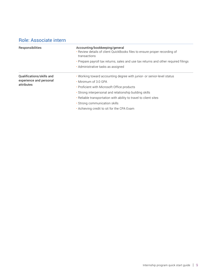### Role: Associate intern

| <b>Responsibilities</b>                                            | Accounting/bookkeeping/general<br>. Review details of client QuickBooks files to ensure proper recording of<br>transactions<br>• Prepare payroll tax returns, sales and use tax returns and other required filings<br>• Administrative tasks as assigned                                                                                                    |
|--------------------------------------------------------------------|-------------------------------------------------------------------------------------------------------------------------------------------------------------------------------------------------------------------------------------------------------------------------------------------------------------------------------------------------------------|
| Qualifications/skills and<br>experience and personal<br>attributes | . Working toward accounting degree with junior- or senior-level status<br>• Minimum of 3.0 GPA<br>• Proficient with Microsoft Office products<br>• Strong interpersonal and relationship building skills<br>• Reliable transportation with ability to travel to client sites<br>· Strong communication skills<br>• Achieving credit to sit for the CPA Exam |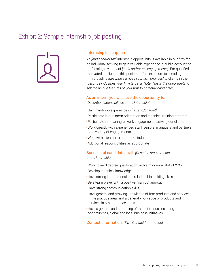### <span id="page-11-0"></span>Exhibit 2: Sample internship job posting

![](_page_11_Picture_1.jpeg)

#### Internship description

An *[audit and/or tax]* internship opportunity is available in our firm for an individual seeking to gain valuable experience in public accounting performing a variety of *[audit and/or tax engagements]*. For qualified, motivated applicants, this position offers exposure to a leading firm providing *[describe services your firm provides]* to clients in the *[describe industries your firm targets]*. *Note: This is the opportunity to sell the unique features of your firm to potential candidates.*

#### As an intern, you will have the opportunity to:

*[Describe responsibilities of the internship]*

- Gain hands-on experience in *[tax and/or audit]*
- Participate in our intern orientation and technical training program
- Participate in meaningful work engagements serving our clients
- Work directly with experienced staff, seniors, managers and partners on a variety of engagements
- Work with clients in a number of industries
- Additional responsibilities as appropriate

#### Successful candidates will: *[Describe requirements of the internship]*

- Work toward degree qualification with a minimum GPA of X.XX
- Develop technical knowledge
- Have strong interpersonal and relationship building skills
- Be a team player with a positive, "can do" approach
- Have strong communication skills
- Have general and growing knowledge of firm products and services in the practice area, and a general knowledge of products and services in other practice areas
- Have a general understanding of market trends, including opportunities, global and local business initiatives

Contact information: *[Firm Contact Information]*